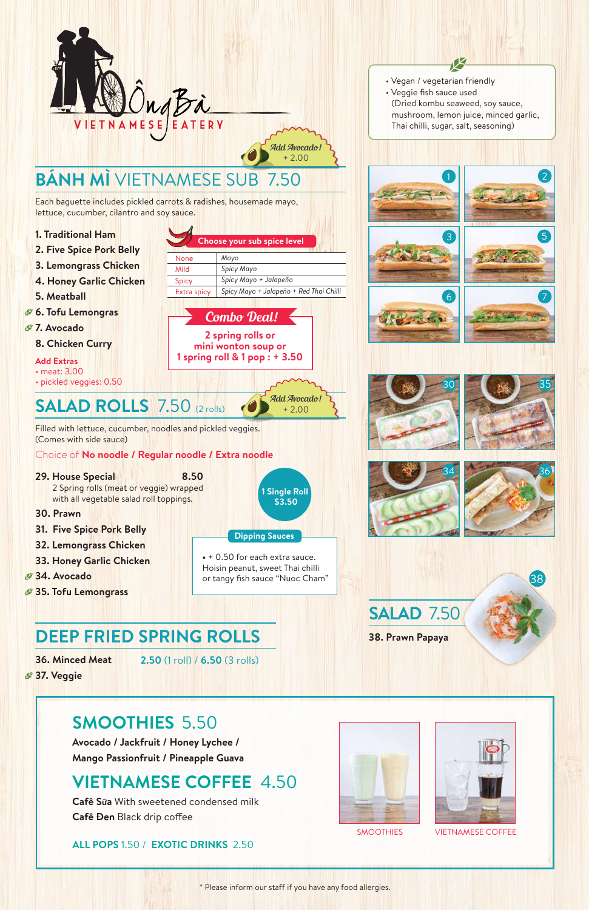Each baguette includes pickled carrots & radishes, housemade mayo, lettuce, cucumber, cilantro and soy sauce.

**Add Extras** • meat: 3.00 • pickled veggies: 0.50

- **1. Traditional Ham**
- **2. Five Spice Pork Belly**
- **3. Lemongrass Chicken**
- **4. Honey Garlic Chicken**
- **5. Meatball**
- **6. Tofu Lemongras**
- *<b>27. Avocado* 
	- **8. Chicken Curry**

- **29. House Special 8.50** 2 Spring rolls (meat or veggie) wrapped with all vegetable salad roll toppings.
- **30. Prawn**
- **31. Five Spice Pork Belly**
- **32. Lemongrass Chicken**
- **33. Honey Garlic Chicken**
- **34. Avocado**
- **35. Tofu Lemongrass**

**36. Minced Meat**

**Cafê Sữa** With sweetened condensed milk **Cafê Đen Black drip coffee** 

Filled with lettuce, cucumber, noodles and pickled veggies. (Comes with side sauce)

**2.50** (1 roll) / **6.50** (3 rolls)

**Choose your sub spice level**

#### **Dipping Sauces**

**•** + 0.50 for each extra sauce. Hoisin peanut, sweet Thai chilli or tangy fish sauce "Nuoc Cham"

\* Please inform our staff if you have any food allergies.

- Vegan / vegetarian friendly
- Veggie fish sauce used (Dried kombu seaweed, soy sauce, mushroom, lemon juice, minced garlic, Thai chilli, sugar, salt, seasoning)

Ø







2











38





**Avocado / Jackfruit / Honey Lychee / Mango Passionfruit / Pineapple Guava**

### **SMOOTHIES** 5.50

### **VIETNAMESE COFFEE** 4.50

**ALL POPS** 1.50 / **EXOTIC DRINKS** 2.50



SMOOTHIES VIETNAMESE COFFEE

None Mild Spicy

Extra spicy

*Mayo Spicy Mayo*

*Spicy Mayo + Jalapeño*

*Spicy Mayo + Jalapeño + Red Thai Chilli*

Add Avocado! + 2.00

Combo Deal!

**2 spring rolls or mini wonton soup or 1 spring roll & 1 pop : + 3.50**

#### Choice of **No noodle / Regular noodle / Extra noodle**

Add Avocado! + 2.00



# **BÁNH MÌ** VIETNAMESE SUB 7.50

### **SALAD ROLLS** 7.50 (2 rolls)

## **DEEP FRIED SPRING ROLLS**

| 1 Single Roll<br>\$3.50 |
|-------------------------|
|                         |